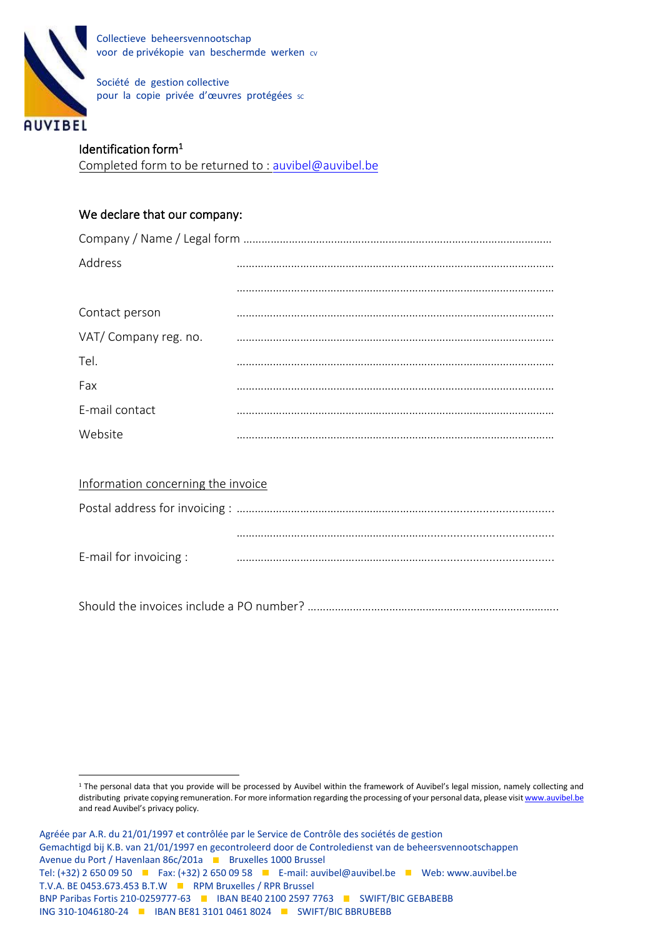

Collectieve beheersvennootschap voor de privékopie van beschermde werken cv

Société de gestion collective pour la copie privée d'œuvres protégées sc

# Identification form<sup>1</sup>

Completed form to be returned to : [auvibel@auvibel.be](mailto:auvibel@auvibel.be)

### We declare that our company:

| Address              |  |
|----------------------|--|
|                      |  |
| Contact person       |  |
| VAT/Company reg. no. |  |
| Tel.                 |  |
| Fax                  |  |
| E-mail contact       |  |
| Website              |  |

| Information concerning the invoice |  |  |
|------------------------------------|--|--|
|                                    |  |  |
|                                    |  |  |
| E-mail for invoicing :             |  |  |

Should the invoices include a PO number? ………………………………………………………………………..

<sup>&</sup>lt;sup>1</sup> The personal data that you provide will be processed by Auvibel within the framework of Auvibel's legal mission, namely collecting and distributing private copying remuneration. For more information regarding the processing of your personal data, please visi[t www.auvibel.be](http://www.auvibel.be/) and read Auvibel's privacy policy.